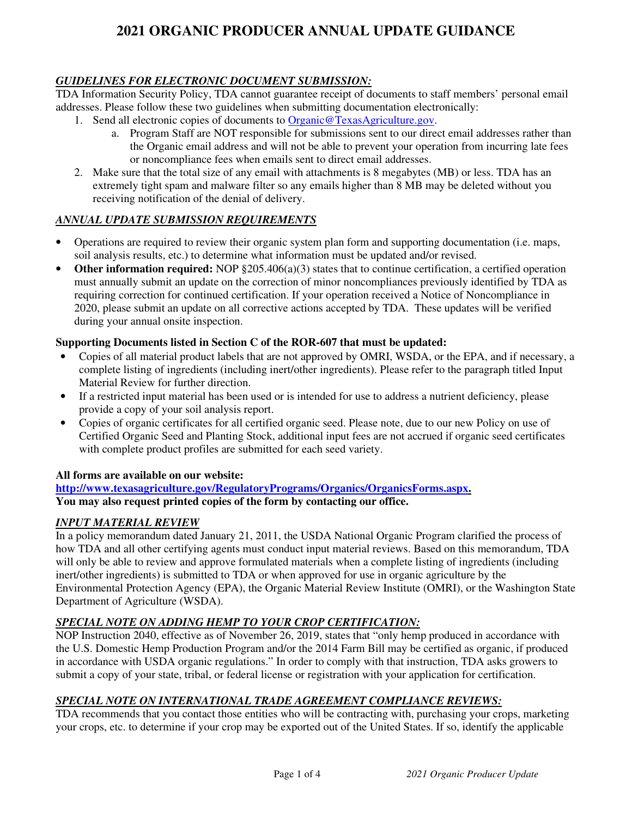## *GUIDELINES FOR ELECTRONIC DOCUMENT SUBMISSION:*

TDA Information Security Policy, TDA cannot guarantee receipt of documents to staff members' personal email addresses. Please follow these two guidelines when submitting documentation electronically:

- 1. Send all electronic copies of documents to Organic@TexasAgriculture.gov.
	- a. Program Staff are NOT responsible for submissions sent to our direct email addresses rather than the Organic email address and will not be able to prevent your operation from incurring late fees or noncompliance fees when emails sent to direct email addresses.
- 2. Make sure that the total size of any email with attachments is 8 megabytes (MB) or less. TDA has an extremely tight spam and malware filter so any emails higher than 8 MB may be deleted without you receiving notification of the denial of delivery.

## *ANNUAL UPDATE SUBMISSION REQUIREMENTS*

- Operations are required to review their organic system plan form and supporting documentation (i.e. maps, soil analysis results, etc.) to determine what information must be updated and/or revised.
- **Other information required:** NOP §205.406(a)(3) states that to continue certification, a certified operation must annually submit an update on the correction of minor noncompliances previously identified by TDA as requiring correction for continued certification. If your operation received a Notice of Noncompliance in 2020, please submit an update on all corrective actions accepted by TDA. These updates will be verified during your annual onsite inspection.

## **Supporting Documents listed in Section C of the ROR-607 that must be updated:**

- Copies of all material product labels that are not approved by OMRI, WSDA, or the EPA, and if necessary, a complete listing of ingredients (including inert/other ingredients). Please refer to the paragraph titled Input Material Review for further direction.
- If a restricted input material has been used or is intended for use to address a nutrient deficiency, please provide a copy of your soil analysis report.
- Copies of organic certificates for all certified organic seed. Please note, due to our new Policy on use of Certified Organic Seed and Planting Stock, additional input fees are not accrued if organic seed certificates with complete product profiles are submitted for each seed variety.

#### **All forms are available on our website:**

**http://www.texasagriculture.gov/RegulatoryPrograms/Organics/OrganicsForms.aspx. You may also request printed copies of the form by contacting our office.** 

#### *INPUT MATERIAL REVIEW*

In a policy memorandum dated January 21, 2011, the USDA National Organic Program clarified the process of how TDA and all other certifying agents must conduct input material reviews. Based on this memorandum, TDA will only be able to review and approve formulated materials when a complete listing of ingredients (including inert/other ingredients) is submitted to TDA or when approved for use in organic agriculture by the Environmental Protection Agency (EPA), the Organic Material Review Institute (OMRI), or the Washington State Department of Agriculture (WSDA).

#### *SPECIAL NOTE ON ADDING HEMP TO YOUR CROP CERTIFICATION:*

NOP Instruction 2040, effective as of November 26, 2019, states that "only hemp produced in accordance with the U.S. Domestic Hemp Production Program and/or the 2014 Farm Bill may be certified as organic, if produced in accordance with USDA organic regulations." In order to comply with that instruction, TDA asks growers to submit a copy of your state, tribal, or federal license or registration with your application for certification.

## *SPECIAL NOTE ON INTERNATIONAL TRADE AGREEMENT COMPLIANCE REVIEWS:*

TDA recommends that you contact those entities who will be contracting with, purchasing your crops, marketing your crops, etc. to determine if your crop may be exported out of the United States. If so, identify the applicable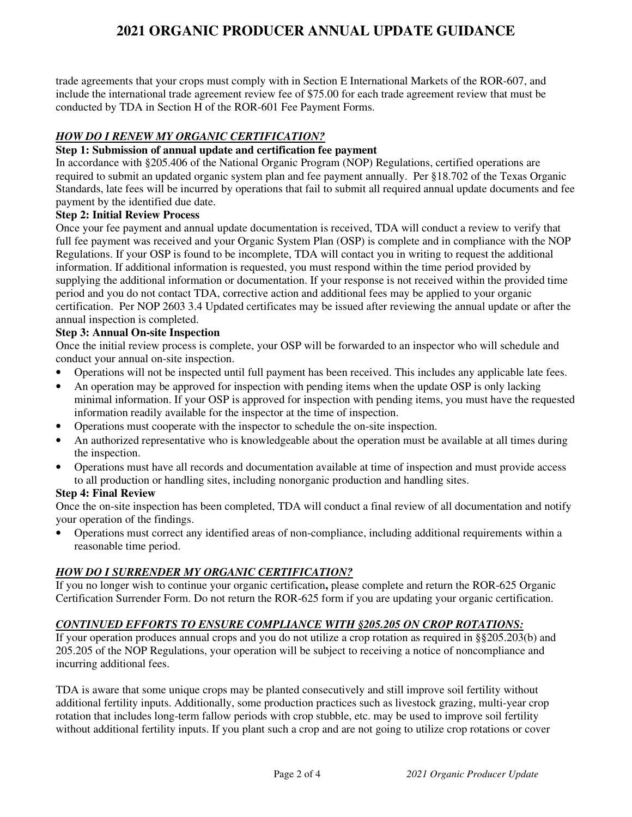trade agreements that your crops must comply with in Section E International Markets of the ROR-607, and include the international trade agreement review fee of \$75.00 for each trade agreement review that must be conducted by TDA in Section H of the ROR-601 Fee Payment Forms.

# *HOW DO I RENEW MY ORGANIC CERTIFICATION?*

#### **Step 1: Submission of annual update and certification fee payment**

In accordance with §205.406 of the National Organic Program (NOP) Regulations, certified operations are required to submit an updated organic system plan and fee payment annually. Per §18.702 of the Texas Organic Standards, late fees will be incurred by operations that fail to submit all required annual update documents and fee payment by the identified due date.

## **Step 2: Initial Review Process**

Once your fee payment and annual update documentation is received, TDA will conduct a review to verify that full fee payment was received and your Organic System Plan (OSP) is complete and in compliance with the NOP Regulations. If your OSP is found to be incomplete, TDA will contact you in writing to request the additional information. If additional information is requested, you must respond within the time period provided by supplying the additional information or documentation. If your response is not received within the provided time period and you do not contact TDA, corrective action and additional fees may be applied to your organic certification. Per NOP 2603 3.4 Updated certificates may be issued after reviewing the annual update or after the annual inspection is completed.

#### **Step 3: Annual On-site Inspection**

Once the initial review process is complete, your OSP will be forwarded to an inspector who will schedule and conduct your annual on-site inspection.

- Operations will not be inspected until full payment has been received. This includes any applicable late fees.
- An operation may be approved for inspection with pending items when the update OSP is only lacking minimal information. If your OSP is approved for inspection with pending items, you must have the requested information readily available for the inspector at the time of inspection.
- Operations must cooperate with the inspector to schedule the on-site inspection.
- An authorized representative who is knowledgeable about the operation must be available at all times during the inspection.
- Operations must have all records and documentation available at time of inspection and must provide access to all production or handling sites, including nonorganic production and handling sites.

#### **Step 4: Final Review**

Once the on-site inspection has been completed, TDA will conduct a final review of all documentation and notify your operation of the findings.

• Operations must correct any identified areas of non-compliance, including additional requirements within a reasonable time period.

## *HOW DO I SURRENDER MY ORGANIC CERTIFICATION?*

If you no longer wish to continue your organic certification**,** please complete and return the ROR-625 Organic Certification Surrender Form. Do not return the ROR-625 form if you are updating your organic certification.

## *CONTINUED EFFORTS TO ENSURE COMPLIANCE WITH §205.205 ON CROP ROTATIONS:*

If your operation produces annual crops and you do not utilize a crop rotation as required in §§205.203(b) and 205.205 of the NOP Regulations, your operation will be subject to receiving a notice of noncompliance and incurring additional fees.

TDA is aware that some unique crops may be planted consecutively and still improve soil fertility without additional fertility inputs. Additionally, some production practices such as livestock grazing, multi-year crop rotation that includes long-term fallow periods with crop stubble, etc. may be used to improve soil fertility without additional fertility inputs. If you plant such a crop and are not going to utilize crop rotations or cover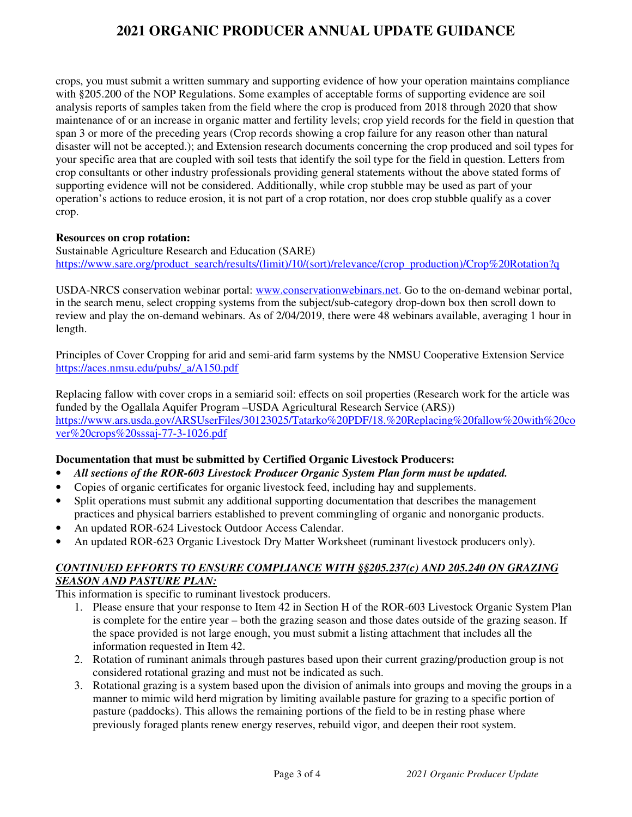crops, you must submit a written summary and supporting evidence of how your operation maintains compliance with §205.200 of the NOP Regulations. Some examples of acceptable forms of supporting evidence are soil analysis reports of samples taken from the field where the crop is produced from 2018 through 2020 that show maintenance of or an increase in organic matter and fertility levels; crop yield records for the field in question that span 3 or more of the preceding years (Crop records showing a crop failure for any reason other than natural disaster will not be accepted.); and Extension research documents concerning the crop produced and soil types for your specific area that are coupled with soil tests that identify the soil type for the field in question. Letters from crop consultants or other industry professionals providing general statements without the above stated forms of supporting evidence will not be considered. Additionally, while crop stubble may be used as part of your operation's actions to reduce erosion, it is not part of a crop rotation, nor does crop stubble qualify as a cover crop.

#### **Resources on crop rotation:**

Sustainable Agriculture Research and Education (SARE) https://www.sare.org/product\_search/results/(limit)/10/(sort)/relevance/(crop\_production)/Crop%20Rotation?q

USDA-NRCS conservation webinar portal: www.conservationwebinars.net. Go to the on-demand webinar portal, in the search menu, select cropping systems from the subject/sub-category drop-down box then scroll down to review and play the on-demand webinars. As of 2/04/2019, there were 48 webinars available, averaging 1 hour in length.

Principles of Cover Cropping for arid and semi-arid farm systems by the NMSU Cooperative Extension Service https://aces.nmsu.edu/pubs/\_a/A150.pdf

Replacing fallow with cover crops in a semiarid soil: effects on soil properties (Research work for the article was funded by the Ogallala Aquifer Program –USDA Agricultural Research Service (ARS)) https://www.ars.usda.gov/ARSUserFiles/30123025/Tatarko%20PDF/18.%20Replacing%20fallow%20with%20co ver%20crops%20sssaj-77-3-1026.pdf

## **Documentation that must be submitted by Certified Organic Livestock Producers:**

- *All sections of the ROR-603 Livestock Producer Organic System Plan form must be updated.*
- Copies of organic certificates for organic livestock feed, including hay and supplements.
- Split operations must submit any additional supporting documentation that describes the management practices and physical barriers established to prevent commingling of organic and nonorganic products.
- An updated ROR-624 Livestock Outdoor Access Calendar.
- An updated ROR-623 Organic Livestock Dry Matter Worksheet (ruminant livestock producers only).

## *CONTINUED EFFORTS TO ENSURE COMPLIANCE WITH §§205.237(c) AND 205.240 ON GRAZING SEASON AND PASTURE PLAN:*

This information is specific to ruminant livestock producers.

- 1. Please ensure that your response to Item 42 in Section H of the ROR-603 Livestock Organic System Plan is complete for the entire year – both the grazing season and those dates outside of the grazing season. If the space provided is not large enough, you must submit a listing attachment that includes all the information requested in Item 42.
- 2. Rotation of ruminant animals through pastures based upon their current grazing/production group is not considered rotational grazing and must not be indicated as such.
- 3. Rotational grazing is a system based upon the division of animals into groups and moving the groups in a manner to mimic wild herd migration by limiting available pasture for grazing to a specific portion of pasture (paddocks). This allows the remaining portions of the field to be in resting phase where previously foraged plants renew energy reserves, rebuild vigor, and deepen their root system.